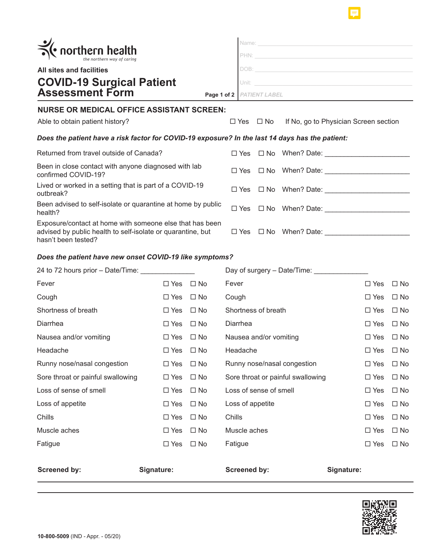| • northern health<br>All sites and facilities<br><b>COVID-19 Surgical Patient</b><br><b>Assessment Form</b><br>Page 1 of 2   PATIENT LABEL     |                      |           |                                      | PHN:<br>DOB: the contract of the contract of the contract of the contract of the contract of the contract of the contract of the contract of the contract of the contract of the contract of the contract of the contract of the contr<br>Unit: Executive Contract of the Contract of the Contract of the Contract of the Contract of the Contract of the |                                                                       |                      |                      |  |                                                  |  |  |  |
|------------------------------------------------------------------------------------------------------------------------------------------------|----------------------|-----------|--------------------------------------|-----------------------------------------------------------------------------------------------------------------------------------------------------------------------------------------------------------------------------------------------------------------------------------------------------------------------------------------------------------|-----------------------------------------------------------------------|----------------------|----------------------|--|--------------------------------------------------|--|--|--|
|                                                                                                                                                |                      |           |                                      |                                                                                                                                                                                                                                                                                                                                                           |                                                                       |                      |                      |  |                                                  |  |  |  |
|                                                                                                                                                |                      |           |                                      |                                                                                                                                                                                                                                                                                                                                                           |                                                                       |                      |                      |  | <b>NURSE OR MEDICAL OFFICE ASSISTANT SCREEN:</b> |  |  |  |
|                                                                                                                                                |                      |           |                                      | Able to obtain patient history?                                                                                                                                                                                                                                                                                                                           |                                                                       |                      | $\Box$ Yes $\Box$ No |  | If No, go to Physician Screen section            |  |  |  |
| Does the patient have a risk factor for COVID-19 exposure? In the last 14 days has the patient:                                                |                      |           |                                      |                                                                                                                                                                                                                                                                                                                                                           |                                                                       |                      |                      |  |                                                  |  |  |  |
| Returned from travel outside of Canada?                                                                                                        |                      |           |                                      |                                                                                                                                                                                                                                                                                                                                                           | $\square$ Yes $\square$ No When? Date:                                |                      |                      |  |                                                  |  |  |  |
| Been in close contact with anyone diagnosed with lab<br>confirmed COVID-19?                                                                    |                      |           |                                      |                                                                                                                                                                                                                                                                                                                                                           |                                                                       |                      |                      |  |                                                  |  |  |  |
| Lived or worked in a setting that is part of a COVID-19<br>outbreak?                                                                           |                      |           |                                      |                                                                                                                                                                                                                                                                                                                                                           | $\square$ Yes $\square$ No When? Date: $\qquad \qquad \qquad \square$ |                      |                      |  |                                                  |  |  |  |
| Been advised to self-isolate or quarantine at home by public<br>health?                                                                        |                      |           |                                      |                                                                                                                                                                                                                                                                                                                                                           | $\Box$ Yes $\Box$ No When? Date:                                      |                      |                      |  |                                                  |  |  |  |
| Exposure/contact at home with someone else that has been<br>advised by public health to self-isolate or quarantine, but<br>hasn't been tested? |                      |           |                                      |                                                                                                                                                                                                                                                                                                                                                           | $\Box$ Yes $\Box$ No When? Date:                                      |                      |                      |  |                                                  |  |  |  |
| Does the patient have new onset COVID-19 like symptoms?                                                                                        |                      |           |                                      |                                                                                                                                                                                                                                                                                                                                                           |                                                                       |                      |                      |  |                                                  |  |  |  |
| 24 to 72 hours prior – Date/Time:                                                                                                              |                      |           |                                      |                                                                                                                                                                                                                                                                                                                                                           | Day of surgery - Date/Time:                                           |                      |                      |  |                                                  |  |  |  |
| Fever                                                                                                                                          | $\Box$ Yes           | ⊟ No      | Fever                                |                                                                                                                                                                                                                                                                                                                                                           |                                                                       | $\Box$ Yes           | $\Box$ No            |  |                                                  |  |  |  |
| Cough                                                                                                                                          | $\Box$ Yes           | $\Box$ No | Cough                                |                                                                                                                                                                                                                                                                                                                                                           |                                                                       | $\Box$ Yes           | $\Box$ No            |  |                                                  |  |  |  |
| Shortness of breath                                                                                                                            | $\Box$ Yes           | $\Box$ No | Shortness of breath                  |                                                                                                                                                                                                                                                                                                                                                           |                                                                       | $\Box$ Yes           | $\Box$ No            |  |                                                  |  |  |  |
| Diarrhea                                                                                                                                       | $\Box$ Yes           | $\Box$ No | Diarrhea                             |                                                                                                                                                                                                                                                                                                                                                           |                                                                       | $\Box$ Yes           | $\Box$ No            |  |                                                  |  |  |  |
| Nausea and/or vomiting                                                                                                                         | $\Box$ Yes $\Box$ No |           | Nausea and/or vomiting<br>$\Box$ Yes |                                                                                                                                                                                                                                                                                                                                                           |                                                                       |                      | $\Box$ No            |  |                                                  |  |  |  |
| Headache                                                                                                                                       | $\Box$ Yes           | $\Box$ No | Headache                             |                                                                                                                                                                                                                                                                                                                                                           |                                                                       |                      | $\Box$ No            |  |                                                  |  |  |  |
| Runny nose/nasal congestion                                                                                                                    | $\Box$ Yes           | $\Box$ No |                                      |                                                                                                                                                                                                                                                                                                                                                           | Runny nose/nasal congestion                                           | $\Box$ Yes $\Box$ No |                      |  |                                                  |  |  |  |

| <b>Screened by:</b>               | Signature: |              | <b>Screened by:</b>               | Signature: |              |
|-----------------------------------|------------|--------------|-----------------------------------|------------|--------------|
|                                   |            |              |                                   |            |              |
| Fatigue                           | $\Box$ Yes | $\Box$ No    | Fatigue                           | $\Box$ Yes | $\square$ No |
| Muscle aches                      | $\Box$ Yes | $\Box$ No    | Muscle aches                      | $\Box$ Yes | $\square$ No |
| Chills                            | $\Box$ Yes | $\Box$ No    | Chills                            | $\Box$ Yes | $\square$ No |
| Loss of appetite                  | $\Box$ Yes | $\Box$ No    | Loss of appetite                  | $\Box$ Yes | $\square$ No |
| Loss of sense of smell            | $\Box$ Yes | $\Box$ No    | Loss of sense of smell            | $\Box$ Yes | $\square$ No |
| Sore throat or painful swallowing | $\Box$ Yes | $\square$ No | Sore throat or painful swallowing | $\Box$ Yes | $\square$ No |
| Runny nose/nasal congestion       | $\Box$ Yes | $\Box$ No    | Runny nose/nasal congestion       | $\Box$ Yes | $\square$ No |
| Headache                          | $\Box$ Yes | $\Box$ No    | Headache                          | $\Box$ Yes | $\square$ No |
| Nausea and/or vomiting            | $\Box$ Yes | $\Box$ No    | Nausea and/or vomiting            | $\Box$ Yes | $\square$ No |
| Diarrhea                          | $\Box$ Yes | $\square$ No | Diarrhea                          | $\Box$ Yes | $\square$ No |
| Shortness of breath               | $\Box$ Yes | $\square$ No | Shortness of breath               | $\Box$ Yes | $\square$ No |
| oougu i                           |            | ---          | ovuyn i                           |            | ---          |



F